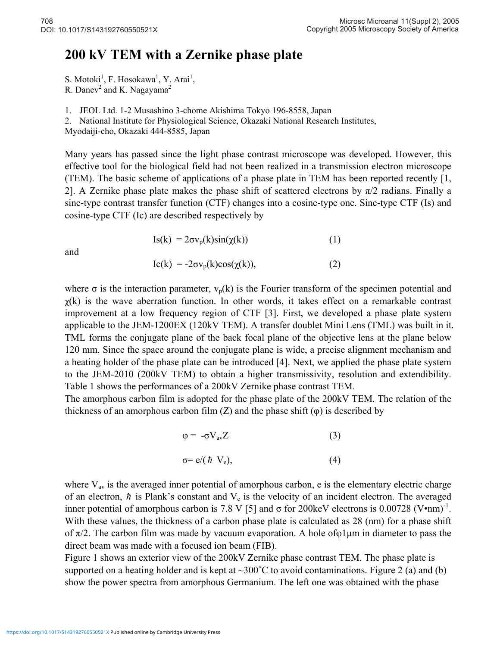## **200 kV TEM with a Zernike phase plate**

S. Motoki<sup>1</sup>, F. Hosokawa<sup>1</sup>, Y. Arai<sup>1</sup>,

R. Danev<sup>2</sup> and K. Nagayama<sup>2</sup>

1. JEOL Ltd. 1-2 Musashino 3-chome Akishima Tokyo 196-8558, Japan

2. National Institute for Physiological Science, Okazaki National Research Institutes,

Myodaiji-cho, Okazaki 444-8585, Japan

Many years has passed since the light phase contrast microscope was developed. However, this effective tool for the biological field had not been realized in a transmission electron microscope (TEM). The basic scheme of applications of a phase plate in TEM has been reported recently [1, 2]. A Zernike phase plate makes the phase shift of scattered electrons by  $\pi/2$  radians. Finally a sine-type contrast transfer function (CTF) changes into a cosine-type one. Sine-type CTF (Is) and cosine-type CTF (Ic) are described respectively by

and

$$
Is(k) = 2\sigma v_p(k)sin(\chi(k))
$$
 (1)

$$
Ic(k) = -2\sigma v_p(k)\cos(\chi(k)),\tag{2}
$$

where  $\sigma$  is the interaction parameter,  $v_p(k)$  is the Fourier transform of the specimen potential and  $\chi$ (k) is the wave aberration function. In other words, it takes effect on a remarkable contrast improvement at a low frequency region of CTF [3]. First, we developed a phase plate system applicable to the JEM-1200EX (120kV TEM). A transfer doublet Mini Lens (TML) was built in it. TML forms the conjugate plane of the back focal plane of the objective lens at the plane below 120 mm. Since the space around the conjugate plane is wide, a precise alignment mechanism and a heating holder of the phase plate can be introduced [4]. Next, we applied the phase plate system to the JEM-2010 (200kV TEM) to obtain a higher transmissivity, resolution and extendibility. Table 1 shows the performances of a 200kV Zernike phase contrast TEM.

The amorphous carbon film is adopted for the phase plate of the 200kV TEM. The relation of the thickness of an amorphous carbon film  $(Z)$  and the phase shift  $(\varphi)$  is described by

$$
\varphi = -\sigma V_{\rm av} Z \tag{3}
$$

$$
\sigma = e/(\hbar V_e),\tag{4}
$$

where  $V_{av}$  is the averaged inner potential of amorphous carbon, e is the elementary electric charge of an electron,  $\hbar$  is Plank's constant and  $V_e$  is the velocity of an incident electron. The averaged inner potential of amorphous carbon is 7.8 V [5] and  $\sigma$  for 200keV electrons is 0.00728 (V•nm)<sup>-1</sup>. With these values, the thickness of a carbon phase plate is calculated as 28 (nm) for a phase shift of  $\pi/2$ . The carbon film was made by vacuum evaporation. A hole of  $\varphi$ 1 µm in diameter to pass the direct beam was made with a focused ion beam (FIB).

Figure 1 shows an exterior view of the 200kV Zernike phase contrast TEM. The phase plate is supported on a heating holder and is kept at  $\sim$ 300°C to avoid contaminations. Figure 2 (a) and (b) show the power spectra from amorphous Germanium. The left one was obtained with the phase